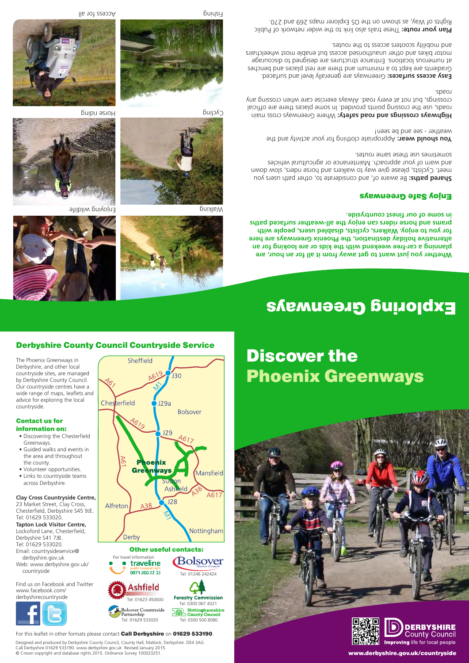#### Derbyshire County Council Countryside Service

The Phoenix Greenways in Derbyshire, and other local countryside sites, are managed by Derbyshire County Council. Our countryside centres have a wide range of maps, leaflets and advice for exploring the local countryside.

#### Contact us for information on:

- Discovering the Chesterfield Greenways.
- Guided walks and events in the area and throughout the county.
- Volunteer opportunities.
- Links to countryside teams across Derbyshire.

#### **Clay Cross Countryside Centre,**

23 Market Street, Clay Cross, Chesterfield, Derbyshire S45 9JE. Tel: 01629 533020. **Tapton Lock Visitor Centre,** Lockoford Lane, Chesterfield, Derbyshire S41 7JB. Tel: 01629 533020. Email: countrysideservice@

 derbyshire.gov.uk Web: www.derbyshire.gov.uk/ countryside

Find us on Facebook and Twitter www.facebook.com/ derbyshirecountryside





#### For travel information<br>**Contraveline** Bolsover public transport info<br>D871 200 22 33





For this leaflet in other formats please contact **Call Derbyshire** on **01629 533190**.

Tel: 01629 533020

bolsover Co<br>Partnership

Designed and produced by Derbyshire County Council, County Hall, Matlock, Derbyshire. DE4 3AG Call Derbyshire 01629 533190. www.derbyshire.gov.uk Revised January 2015. © Crown copyright and database rights 2015. Ordnance Survey 100023251.

## Discover the Phoenix Greenways





www.derbyshire.gov.uk/countryside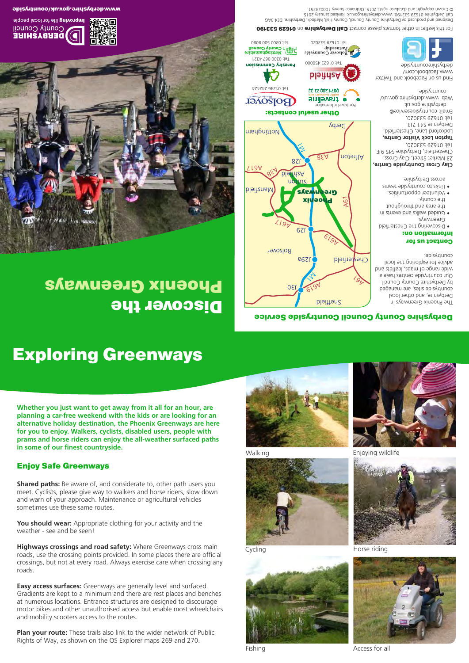## Exploring Greenways

**Whether you just want to get away from it all for an hour, are planning a car-free weekend with the kids or are looking for an alternative holiday destination, the Phoenix Greenways are here for you to enjoy. Walkers, cyclists, disabled users, people with prams and horse riders can enjoy the all-weather surfaced paths in some of our finest countryside.**

#### Enjoy Safe Greenways

**Shared paths:** Be aware of, and considerate to, other path users you meet. Cyclists, please give way to walkers and horse riders, slow down and warn of your approach. Maintenance or agricultural vehicles sometimes use these same routes.

**You should wear:** Appropriate clothing for your activity and the weather - see and be seen!

**Highways crossings and road safety:** Where Greenways cross main roads, use the crossing points provided. In some places there are official crossings, but not at every road. Always exercise care when crossing any roads.

**Easy access surfaces:** Greenways are generally level and surfaced. Gradients are kept to a minimum and there are rest places and benches at numerous locations. Entrance structures are designed to discourage motor bikes and other unauthorised access but enable most wheelchairs and mobility scooters access to the routes.

**Plan your route:** These trails also link to the wider network of Public Rights of Way, as shown on the OS Explorer maps 269 and 270.









Walking **Enjoying wildlife** 



Cycling



Horse riding



Fishing **Access** for all **Access** for all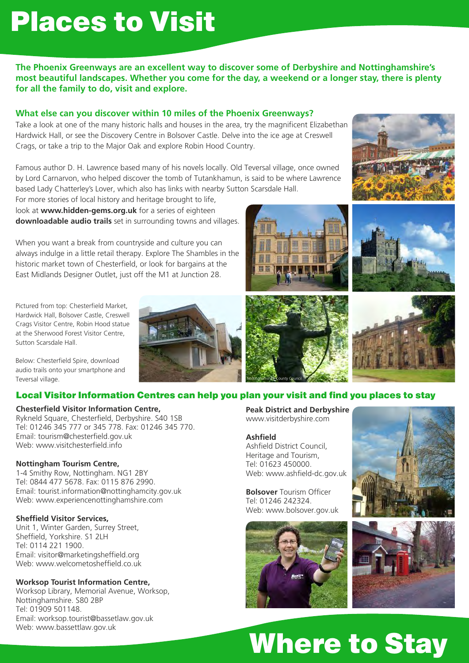## Places to Visit

## Where to Stay

**The Phoenix Greenways are an excellent way to discover some of Derbyshire and Nottinghamshire's most beautiful landscapes. Whether you come for the day, a weekend or a longer stay, there is plenty for all the family to do, visit and explore.** 

#### **What else can you discover within 10 miles of the Phoenix Greenways?**

Take a look at one of the many historic halls and houses in the area, try the magnificent Elizabethan Hardwick Hall, or see the Discovery Centre in Bolsover Castle. Delve into the ice age at Creswell Crags, or take a trip to the Major Oak and explore Robin Hood Country.

Famous author D. H. Lawrence based many of his novels locally. Old Teversal village, once owned by Lord Carnarvon, who helped discover the tomb of Tutankhamun, is said to be where Lawrence based Lady Chatterley's Lover, which also has links with nearby Sutton Scarsdale Hall.

For more stories of local history and heritage brought to life, look at **www.hidden-gems.org.uk** for a series of eighteen **downloadable audio trails** set in surrounding towns and villages.

When you want a break from countryside and culture you can always indulge in a little retail therapy. Explore The Shambles in the historic market town of Chesterfield, or look for bargains at the East Midlands Designer Outlet, just off the M1 at Junction 28.

Pictured from top: Chesterfield Market, Hardwick Hall, Bolsover Castle, Creswell Crags Visitor Centre, Robin Hood statue at the Sherwood Forest Visitor Centre, Sutton Scarsdale Hall.

Below: Chesterfield Spire, download audio trails onto your smartphone and Teversal village.

#### Local Visitor Information Centres can help you plan your visit and find you places to stay

#### **Chesterfield Visitor Information Centre,**

Rykneld Square, Chesterfield, Derbyshire. S40 1SB Tel: 01246 345 777 or 345 778. Fax: 01246 345 770. Email: tourism@chesterfield.gov.uk Web: www.visitchesterfield.info

#### **Nottingham Tourism Centre,**

1-4 Smithy Row, Nottingham. NG1 2BY Tel: 0844 477 5678. Fax: 0115 876 2990. Email: tourist.information@nottinghamcity.gov.uk Web: www.experiencenottinghamshire.com

#### **Sheffield Visitor Services,**

Unit 1, Winter Garden, Surrey Street, Sheffield, Yorkshire. S1 2LH Tel: 0114 221 1900. Email: visitor@marketingsheffield.org Web: www.welcometosheffield.co.uk

#### **Worksop Tourist Information Centre,**

Worksop Library, Memorial Avenue, Worksop, Nottinghamshire. S80 2BP Tel: 01909 501148. Email: worksop.tourist@bassetlaw.gov.uk Web: www.bassettlaw.gov.uk

**Peak District and Derbyshire** www.visitderbyshire.com

#### **Ashfield**

Ashfield District Council, Heritage and Tourism, Tel: 01623 450000. Web: www.ashfield-dc.gov.uk

**Bolsover** Tourism Officer Tel: 01246 242324.











### Web: www.bolsover.gov.uk



Nottinghamshire County Council